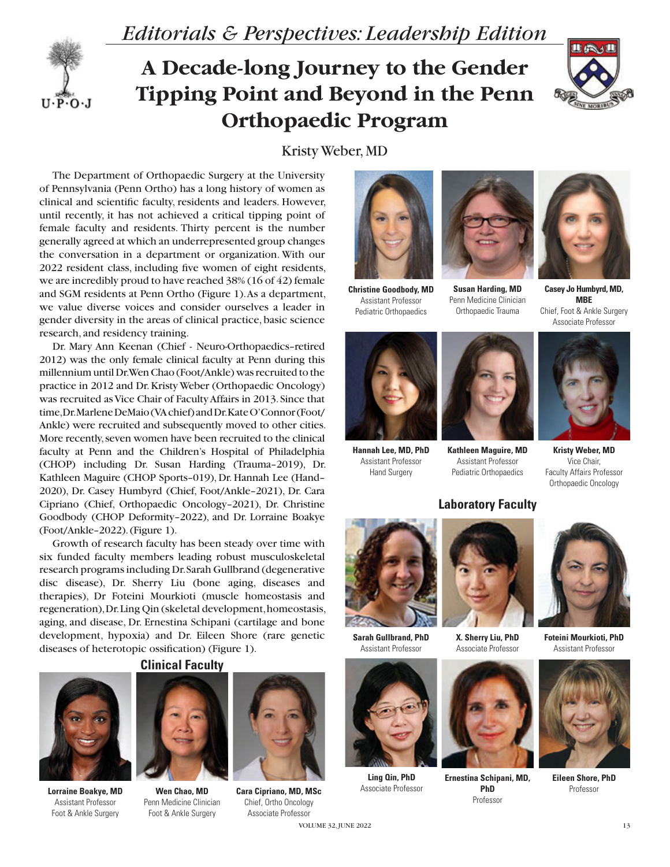## *Editorials & Perspectives: Leadership Edition*



# **A Decade-long Journey to the Gender Tipping Point and Beyond in the Penn Orthopaedic Program**



#### Kristy Weber, MD

The Department of Orthopaedic Surgery at the University of Pennsylvania (Penn Ortho) has a long history of women as clinical and scientific faculty, residents and leaders. However, until recently, it has not achieved a critical tipping point of female faculty and residents. Thirty percent is the number generally agreed at which an underrepresented group changes the conversation in a department or organization. With our 2022 resident class, including five women of eight residents, we are incredibly proud to have reached 38% (16 of 42) female and SGM residents at Penn Ortho (Figure 1). As a department, we value diverse voices and consider ourselves a leader in gender diversity in the areas of clinical practice, basic science research, and residency training.

Dr. Mary Ann Keenan (Chief - Neuro-Orthopaedics–retired 2012) was the only female clinical faculty at Penn during this millennium until Dr. Wen Chao (Foot/Ankle) was recruited to the practice in 2012 and Dr. Kristy Weber (Orthopaedic Oncology) was recruited as Vice Chair of Faculty Affairs in 2013. Since that time, Dr. Marlene DeMaio (VA chief) and Dr. Kate O'Connor (Foot/ Ankle) were recruited and subsequently moved to other cities. More recently, seven women have been recruited to the clinical faculty at Penn and the Children's Hospital of Philadelphia (CHOP) including Dr. Susan Harding (Trauma–2019), Dr. Kathleen Maguire (CHOP Sports–019), Dr. Hannah Lee (Hand– 2020), Dr. Casey Humbyrd (Chief, Foot/Ankle–2021), Dr. Cara Cipriano (Chief, Orthopaedic Oncology–2021), Dr. Christine Goodbody (CHOP Deformity–2022), and Dr. Lorraine Boakye (Foot/Ankle–2022). (Figure 1).

Growth of research faculty has been steady over time with six funded faculty members leading robust musculoskeletal research programs including Dr. Sarah Gullbrand (degenerative disc disease), Dr. Sherry Liu (bone aging, diseases and therapies), Dr Foteini Mourkioti (muscle homeostasis and regeneration), Dr. Ling Qin (skeletal development, homeostasis, aging, and disease, Dr. Ernestina Schipani (cartilage and bone development, hypoxia) and Dr. Eileen Shore (rare genetic diseases of heterotopic ossification) (Figure 1).



**Lorraine Boakye, MD** Assistant Professor Foot & Ankle Surgery



**Clinical Faculty**

**Wen Chao, MD** Penn Medicine Clinician Foot & Ankle Surgery



**Cara Cipriano, MD, MSc** Chief, Ortho Oncology Associate Professor



**Christine Goodbody, MD** Assistant Professor Pediatric Orthopaedics



**Susan Harding, MD** Penn Medicine Clinician Orthopaedic Trauma



**Casey Jo Humbyrd, MD, MBE** Chief, Foot & Ankle Surgery Associate Professor



**Hannah Lee, MD, PhD** Assistant Professor Hand Surgery



**Kathleen Maguire, MD** Assistant Professor Pediatric Orthopaedics

#### **Laboratory Faculty**



**Sarah Gullbrand, PhD** Assistant Professor



**Ling Qin, PhD** Associate Professor



Associate Professor



**Ernestina Schipani, MD, PhD** Professor





**Eileen Shore, PhD** Professor

VOLUME 32, JUNE 2022 13

Orthopaedic Oncology

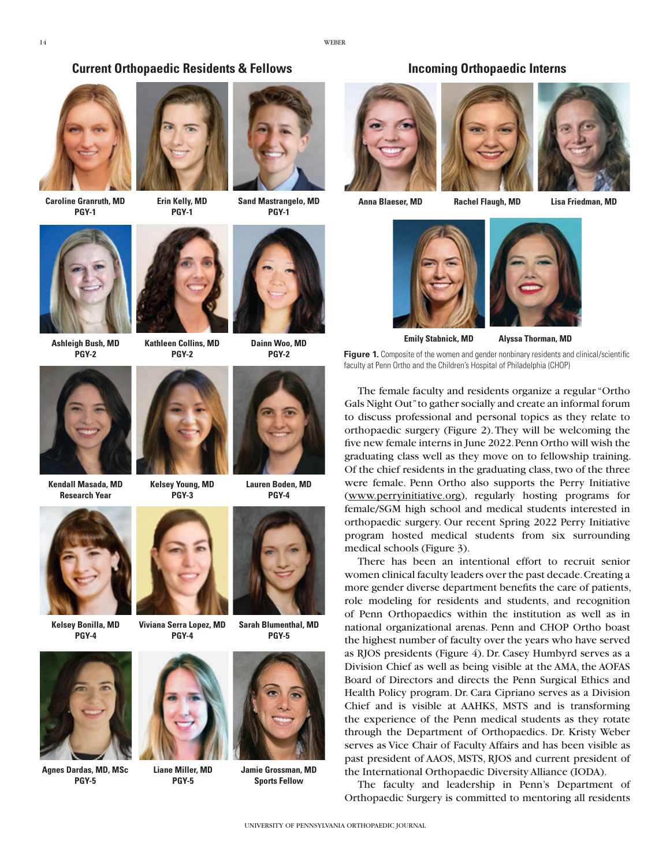### **Current Orthopaedic Residents & Fellows**



**Caroline Granruth, MD PGY-1**



**Erin Kelly, MD PGY-1**



**Sand Mastrangelo, MD PGY-1**



**Ashleigh Bush, MD PGY-2**



**Kathleen Collins, MD PGY-2**



**Dainn Woo, MD PGY-2**



**Kendall Masada, MD Research Year**



**Kelsey Young, MD PGY-3**



**Lauren Boden, MD PGY-4**



**Kelsey Bonilla, MD PGY-4**



**Agnes Dardas, MD, MSc PGY-5**



**Liane Miller, MD PGY-5**



**Jamie Grossman, MD Sports Fellow**









**Anna Blaeser, MD Rachel Flaugh, MD Lisa Friedman, MD**



**Emily Stabnick, MD Alyssa Thorman, MD**

Figure 1. Composite of the women and gender nonbinary residents and clinical/scientific faculty at Penn Ortho and the Children's Hospital of Philadelphia (CHOP)

The female faculty and residents organize a regular "Ortho Gals Night Out" to gather socially and create an informal forum to discuss professional and personal topics as they relate to orthopaedic surgery (Figure 2). They will be welcoming the five new female interns in June 2022. Penn Ortho will wish the graduating class well as they move on to fellowship training. Of the chief residents in the graduating class, two of the three were female. Penn Ortho also supports the Perry Initiative (www.perryinitiative.org), regularly hosting programs for female/SGM high school and medical students interested in orthopaedic surgery. Our recent Spring 2022 Perry Initiative program hosted medical students from six surrounding medical schools (Figure 3).

There has been an intentional effort to recruit senior women clinical faculty leaders over the past decade. Creating a more gender diverse department benefits the care of patients, role modeling for residents and students, and recognition of Penn Orthopaedics within the institution as well as in national organizational arenas. Penn and CHOP Ortho boast the highest number of faculty over the years who have served as RJOS presidents (Figure 4). Dr. Casey Humbyrd serves as a Division Chief as well as being visible at the AMA, the AOFAS Board of Directors and directs the Penn Surgical Ethics and Health Policy program. Dr. Cara Cipriano serves as a Division Chief and is visible at AAHKS, MSTS and is transforming the experience of the Penn medical students as they rotate through the Department of Orthopaedics. Dr. Kristy Weber serves as Vice Chair of Faculty Affairs and has been visible as past president of AAOS, MSTS, RJOS and current president of the International Orthopaedic Diversity Alliance (IODA).

The faculty and leadership in Penn's Department of Orthopaedic Surgery is committed to mentoring all residents

#### **Incoming Orthopaedic Interns**